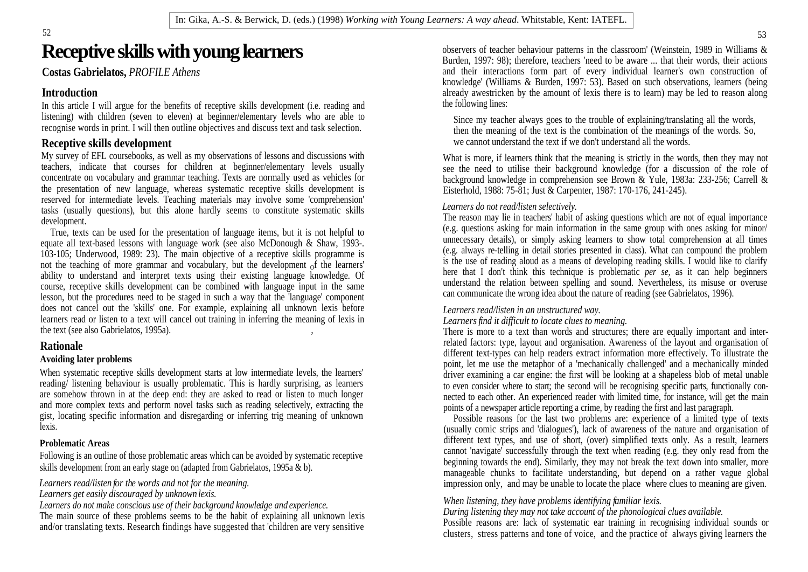# **Receptive skills with young learners**

In this article I will argue for the benefits of receptive skills development (i.e. reading and listening) with children (seven to eleven) at beginner/elementary levels who are able to listening) with children (seven to eleven) at beginner/elementary levels who are able to Since my teacher always goes to the trouble of explaining/translating all the words,

the presentation of new language, whereas systematic receptive skills development is Eisterhold, 1988: 75-81; Just & Carpenter, 1987: 170-176, 241-245). reserved for intermediate levels. Teaching materials may involve some 'comprehension' tasks (usually questions), but this alone hardly seems to constitute systematic skills

equate all text-based lessons with language work (see also McDonough & Shaw, 1993-.<br>
(e.g. always re-telling in detail stories presented in class). What can compound the problem<br>
(e.g. always re-telling in detail stories p 103-105; Underwood, 1989: 23). The main objective of a receptive skills programme is (e.g. always re-telling in detail stories presented in class). What can compound the problem<br>not the tocoling of more grammer and voetbul not the teaching of more grammar and vocabulary, but the development of the learners' is the use of reading about as a means of developing reading skills. I would like to clarify the teaching the second order that I don't ability to understand and interpret texts using their existing language knowledge. Of the that I don't think this technique is problematic *per se*, as it can help beginners are beginners to be combined with language knowl course, receptive skills development can be combined with language input in the same and counterstand the relation between spelling and sound. Nevertheless, its misuse or can but the receptive skills development can be com lesson, but the procedures need to be staged in such a way that the 'language' component does not cancel out the 'skills' one. For example, explaining all unknown lexis before learners read or listen to a text will cancel out training in inferring the meaning of lexis in the text (see also Gabrielatos, 1995a).

Following is an outline of those problematic areas which can be avoided by systematic receptive skills development from an early stage on (adapted from Gabrielatos, 1995a & b).

*Learners do not make conscious use of their background knowledge and experience.* 

The main source of these problems seems to be the habit of explaining all unknown lexis and/or translating texts. Research findings have suggested that 'children are very sensitive

**Costas Gabrielatos,** *PROFILE Athens* and their interactions form part of every individual learner's own construction of Introduction<br>In this article I will aroue for the benefits of recentive skills development (i.e. reading and<br>In this article I will aroue for the benefits of recentive skills development (i.e. reading and<br>In this article I observers of teacher behaviour patterns in the classroom' (Weinstein, 1989 in Williams & Burden, 1997: 98); therefore, teachers 'need to be aware ... that their words, their actions knowledge' (Williams & Burden, 1997: 53). Based on such observations, learners (being already awestricken by the amount of lexis there is to learn) may be led to reason along the following lines:

recognise words in print. I will then outline objectives and discuss text and task selection. then the meaning of the text is the combination of the meanings of the words. So, **Receptive skills development really a vertice that we cannot understand the text if we don't understand all the words.** 

My survey of EFL coursebooks, as well as my observations of lessons and discussions with What is more, if learners think that the meaning is strictly in the words, then they may not teachers, indicate that courses for children at beginner/elementary levels usually<br>concentrate on vocabulary and grammar teaching. Texts are normally used as vehicles for background knowledge in comprehension see Brown & Y see the need to utilise their background knowledge (for a discussion of the role of

### *Learners do not read/listen selectively.*

development.<br>
True texts can be used for the presentation of language items but it is not helpful to (e.g. questions asking for main information in the same group with ones asking for minor/ True, texts can be used for the presentation of language items, but it is not helpful to<br>mecessary details), or simply asking learners to show total comprehension at all times<br>unnecessary details), or simply asking learner The reason may lie in teachers' habit of asking questions which are not of equal importance unnecessary details), or simply asking learners to show total comprehension at all times<br>(e.g. always re-telling in detail stories presented in class). What can compound the problem<br>is the use of reading aloud as a means

### *Learners read/listen in an unstructured way.*

*Learners find it difficult to locate clues to meaning.*

the text (see also Gabrielatos, 1995a).  $\blacksquare$ , There is more to a text than words and structures; there are equally important and inter-**Rationale**<br>
different text-types can help readers extract information more effectively. To illustrate the Avoiding later problems<br>
point, let me use the metaphor of a 'mechanically challenged' and a mechanically minded When systematic receptive skills development starts at low intermediate levels, the learners' driver examining a car engine: the first will be looking at a shapeless blob of metal unable reading/listening behaviour is usually problematic. This is hardly surprising, as learners<br>are somehow thrown in at the deep end: they are asked to read or listen to much longer<br>and more complex texts and perform novel tas related factors: type, layout and organisation. Awareness of the layout and organisation of to even consider where to start; the second will be recognising specific parts, functionally connected to each other. An experienced reader with limited time, for instance, will get the main points of a newspaper article reporting a crime, by reading the first and last paragraph.

gist, locating specific information and disregarding or inferring trig meaning of unknown Possible reasons for the last two problems are: experience of a limited type of texts lexis. (usually comic strips and 'dialogues'), lack of awareness of the nature and organisation of **Problematic Areas** different text types, and use of short, (over) simplified texts only. As a result, learners cannot havigate' successfully through the text when reading (e.g. they only read from the Learners read/listen for the words and not for the meaning. **impression** only, and may be unable to locate the place where clues to meaning are given. different text types, and use of short, (over) simplified texts only. As <sup>a</sup> result, learners cannot 'navigate' successfully through the text when reading (e.g. they only read from the beginning towards the end). Similarly, they may not break the text down into smaller, more manageable chunks to facilitate understanding, but depend on a rather vague global

*Learners get easily discouraged by unknown lexis.*<br>I seminary denotingly associate use of their baskspanned in aviados and amazimes. The summary when listening, they have problems identifying familiar lexis.

*During listening they may not take account of the phonological clues available.* 

Possible reasons are: lack of systematic ear training in recognising individual sounds or clusters, stress patterns and tone of voice, and the practice of always giving learners the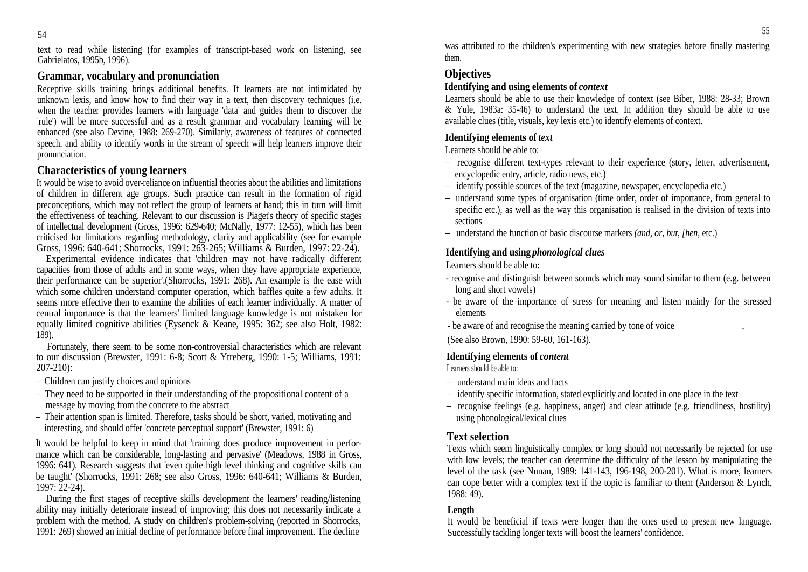text to read while listening (for examples of transcript-based work on listening, see Was them Gabrielatos, 1995b, 1996).

## **Grammar, vocabulary and pronunciation**

Receptive skills training brings additional benefits. If learners are not intimidated by<br>
unknown lexis and know how to find their way in a text, then discovery techniques (i.e.<br>
Learners should be able to use their knowle unknown lexis, and know how to find their way in a text, then discovery techniques (i.e.<br>when the teacher provides learners with language data' and guides them to discover the  $\&$  Yule, 1983a: 35-46) to understand the tex when the teacher provides learners with language 'data' and guides them to discover the<br>
"rule" will be more successful and as a result grammar and vocabulary learning will be available clues (title, visuals, key lexis etc 'rule') will be more successful and as a result grammar and vocabulary learning will be enhanced (see also Devine, 1988: 269-270). Similarly, awareness of features of connected speech, and ability to identify words in the stream of speech will help learners improve their pronunciation.

It would be wise to avoid over-reliance on influential theories about the abilities and limitations – identify possible sources of the text (magazine, newspaper, encyclopedia etc.) of children in different age groups. Such practice can result in the formation of rigid  $-$  understand some types of organisation (time order, order of importance, from general to  $$ the effectiveness of teaching. Relevant to our discussion is Piaget's theory of specific stages<br>of intellectual development (Gross, 1996: 629-640; McNally, 1977: 12-55), which has been<br>sections criticised for limitations regarding methodology, clarity and applicability (see for example Gross, 1996: 640-641; Shorrocks, 1991: 263-265; Williams & Burden, 1997: 22-24).

Experimental evidence indicates that 'children may not have radically different capacities from those of adults and in some ways, when they have appropriate experience, their performance can be superior'.(Shorrocks, 1991: 268). An example is the ease with recognise and distinguish<br>which some children understand computer operation which baffles quite a few adults It long and short vowels) which some children understand computer operation, which baffles quite a few adults. It seems more effective then to examine the abilities of each learner individually. A matter of the second of the series of the learners' limited language knowledge is not mistaken for the elements central importance is that the learners' limited language knowledge is not mistaken for equally limited cognitive abilities (Eysenck & Keane, 1995: 362; see also Holt, 1982: 189). 189). (See also Brown, 1990: 59-60, 161-163).

Fortunately, there seem to be some non-controversial characteristics which are relevant<br>to our discussion (Brewster, 1991: 6-8; Scott & Ytreberg, 1990: 1-5; Williams, 1991:<br>207-210): Learners should be able to:

- Children can justify choices and opinions
- They need to be supported in their understanding of the propositional content of a
- Their attention span is limited. Therefore, tasks should be short, varied, motivating and interesting, and should offer 'concrete perceptual support' (Brewster, 1991: 6) **Text selection**

It would be helpful to keep in mind that 'training does produce improvement in perfor mance which can be considerable, long-lasting and pervasive' (Meadows, 1988 in Gross, 1996: 641). Research suggests that 'even quite high level thinking and cognitive skills can  $1997: 22-24$ ).

During the first stages of receptive skills development the learners' reading/listening 1988: 49). ability may initially deteriorate instead of improving; this does not necessarily indicate a<br>problem with the method. A study on children's problem-solving (reported in Shorrocks, It would 1991: 269) showed an initial decline of performance before final improvement. The decline

54 was attributed to the children's experimenting with new strategies before finally mastering them.

## **Objectives**

## **Identifying and using elements of** *context*

Learners should be able to use their knowledge of context (see Biber, 1988: 28-33; Brown<br>& Yule, 1983a: 35-46) to understand the text. In addition they should be able to use<br>available clues (title, visuals, key lexis etc.)

## **Identifying elements of** *text*

Learners should be able to:

- **Characteristics of young learners** encyclopedic entry, article, radio news, etc.) – recognise different text-types relevant to their experience (story, letter, advertisement,
	-
- preconceptions, which may not reflect the group of learners at hand; this in turn will limit specific etc.), as well as the way this organisation is realised in the division of texts into specific etc.), as well as the way sections and the sections of the sections of the sections of the sections of the sections of the sections of the sections of  $\mathcal{L}$ 
	- understand the function of basic discourse markers *(and, or, but, [hen,* etc.)

## **Identifying and using** *phonological clues*

Learners should be able to:

- recognise and distinguish between sounds which may sound similar to them (e.g. between long and short vowels)
- be aware of the importance of stress for meaning and listen mainly for the stressed elements and the set of the set of the set of the set of the set of the set of the set of the set of the set of the set of the set of the set of the set of the set of the set of the set of the set of the set of the set of
- be aware of and recognise the meaning carried by tone of voice ,

## **Identifying elements of** *content*

Learners should be able to:

- understand main ideas and facts
- identify specific information, stated explicitly and located in one place in the text
- message by moving from the concrete to the abstract example abstract  $\sim$  recognise feelings (e.g. happiness, anger) and clear attitude (e.g. friendliness, hostility) using phonological/lexical clues

## **Text selection**

1996: 641). Research suggests that 'even quite high level thinking and cognitive skills can be taught (Shorrocks, 1991: 268; see also Gross, 1996: 640-641; Williams & Burden, level of the task (see Nunan, 1989: 141-143, 19 Texts which seem linguistically complex or long should not necessarily be rejected for use with low levels; the teacher can determine the difficulty of the lesson by manipulating the level of the task (see Nunan, 1989: 141-143, 196-198, 200-201). What is more, learners can cope better with a complex text if the topic is familiar to them (Anderson & Lynch, 1988: 49).

## **Length**

problem with the method. A study on children's problem-solving (reported in Shorrocks, It would be beneficial if texts were longer than the ones used to present new language. Successfully tackling longer texts will boost the learners' confidence.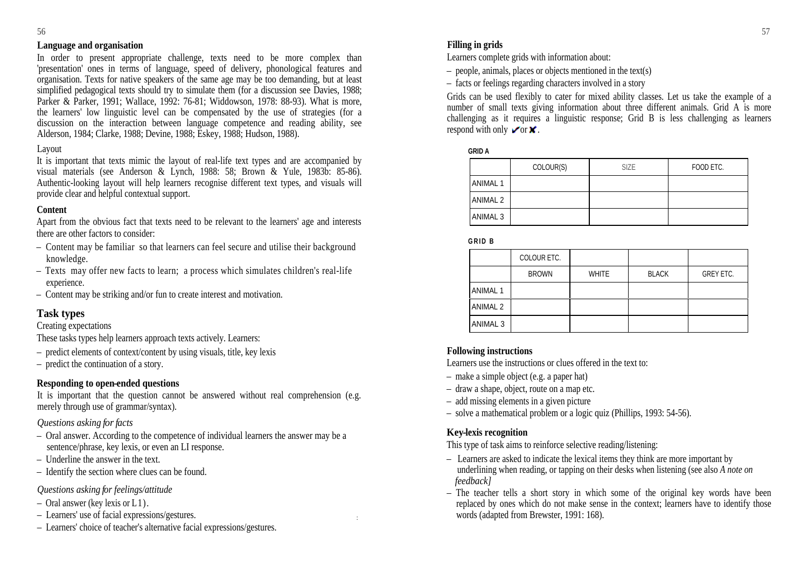### **Language and organisation**

In order to present appropriate challenge, texts need to be more complex than 'presentation' ones in terms of language, speed of delivery, phonological features and organisation. Texts for native speakers of the same age may be too demanding, but at least simplified pedagogical texts should try to simulate them (for a discussion see Davies, 1988; Parker & Parker, 1991; Wallace, 1992; 76-81; Widdowson, 1978; 88-93). What is more, Parker & Parker, 1991; Wallace, 1992: 76-81; Widdowson, 1978: 88-93). What is more,<br>the learners' low linguistic level can be compensated by the use of strategies (for a number of small text strategies and information abo discussion on the interaction between language competence and reading ability, see<br>discussion on the interaction between language competence and reading ability, see<br>Alderson 1094 Clerks 1099, Davine 1099, Ecksy 1099, Und Alderson, 1984; Clarke, 1988; Devine, 1988; Eskey, 1988; Hudson, 1988).

### Layout

Apart from the obvious fact that texts need to be relevant to the learners' age and interests there are other factors to consider:<br> **CRID B** 

- Content may be familiar so that learners can feel secure and utilise their background knowledge.
- Texts may offer new facts to learn; a process which simulates children's real-life experience.
- Content may be striking and/or fun to create interest and motivation.

## **Task types**

These tasks types help learners approach texts actively. Learners:

- 
- 

### **Responding to open-ended questions**

It is important that the question cannot be answered without real comprehension (e.g. merely through use of grammar/syntax).

### *Questions asking for facts*

- $\epsilon$  Oral answer. According to the competence of individual learners the answer may be a<br>  $\epsilon$  Mey-lexis recognition sentence/phrase, key lexis, or even an LI response.
- 
- 

- 
- Learners' use of facial expressions/gestures. :
- Learners' choice of teacher's alternative facial expressions/gestures.

### **Filling in grids**

Learners complete grids with information about:

- $-$  people, animals, places or objects mentioned in the text(s)
- facts or feelings regarding characters involved in a story

Grids can be used flexibly to cater for mixed ability classes. Let us take the example of a challenging as it requires a linguistic response; Grid B is less challenging as learners respond with only  $\blacktriangleright$  or  $\blacktriangleright$ .

**GRID A**

| It is important that texts mimic the layout of real-life text types and are accompanied by<br>visual materials (see Anderson & Lynch, 1988: 58; Brown & Yule, 1983b: 85-86). | COLOUR(S) | FOOD ETC. |
|------------------------------------------------------------------------------------------------------------------------------------------------------------------------------|-----------|-----------|
| Authentic-looking layout will help learners recognise different text types, and visuals will<br>provide clear and helpful contextual support.                                |           |           |
| Content                                                                                                                                                                      |           |           |
| Apart from the obvious fact that texts need to be relevant to the learners' age and interests                                                                                |           |           |

**G R I D B**

| $-$ Content may be familiar so that learners can feel secure and utilise their background |              |      |                |                  |  |
|-------------------------------------------------------------------------------------------|--------------|------|----------------|------------------|--|
| knowledge                                                                                 | COLOUR ETC.  |      |                |                  |  |
| - Texts may offer new facts to learn; a process which simulates children's real-life      | <b>BROWN</b> | M/HI | $\overline{M}$ | <b>GREY ETC.</b> |  |
| experience<br>- Content may be striking and/or fun to create interest and motivation.     |              |      |                |                  |  |
|                                                                                           |              |      |                |                  |  |
| <b>Task types</b><br>Creating expectations                                                |              |      |                |                  |  |

### **Following instructions**

– predict elements of context/content by using visuals, title, key lexis **Following instructions**<br>
– predict the continuation of a story. Learners use the instructions or clues offered in the text to:

- make a simple object (e.g. a paper hat)
- draw a shape, object, route on a map etc.
- add missing elements in a given picture
- solve a mathematical problem or a logic quiz (Phillips, 1993: 54-56).

### **Key-lexis recognition**

This type of task aims to reinforce selective reading/listening:

- Underline the answer in the text.  $\blacksquare$  Learners are asked to indicate the lexical items they think are more important by – Identify the section where clues can be found. underlining when reading, or tapping on their desks when listening (see also *A note on feedback]*
- *Questions asking for feelings/attitude* The teacher tells a short story in which some of the original key words have been Loweshons asking for feelings antibale tells a short story in which some of the original key words have been  $-$  Oral answer (key lexis or L1). words (adapted from Brewster, 1991: 168).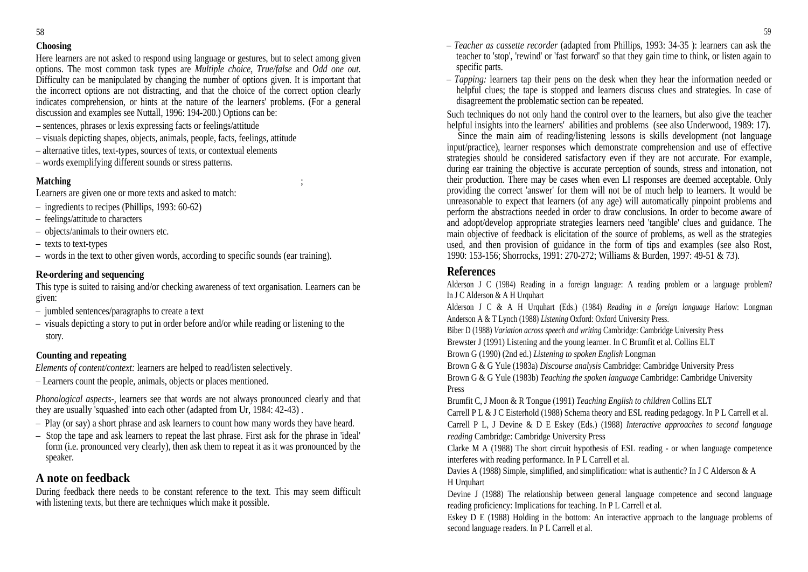Here learners are not asked to respond using language or gestures, but to select among given the learners are not common task types are *Multiple choice*. *True/false* and *Odd one out* specific parts. options. The most common task types are *Multiple choice, True/false* and *Odd one out.*  Difficulty can be manipulated by changing the number of options given. It is important that the incorrect options are not distracting, and that the choice of the correct option clearly indicates comprehension, or hints at the nature of the learners' problems. (For a general

- 
- visuals depicting shapes, objects, animals, people, facts, feelings, attitude
- alternative titles, text-types, sources of texts, or contextual elements
- 

Learners are given one or more texts and asked to match:

- 
- 
- 
- 
- 

## **Re-ordering and sequencing**

given:  $\Box$  and  $\Box$  and  $\Box$  and  $\Box$  and  $\Box$  and  $\Box$  and  $\Box$  and  $\Box$  and  $\Box$  and  $\Box$  and  $\Box$  and  $\Box$  and  $\Box$  and  $\Box$  and  $\Box$  and  $\Box$  and  $\Box$  and  $\Box$  and  $\Box$  and  $\Box$  and  $\Box$  and  $\Box$  and  $\Box$  and  $\Box$  an

- 
- visuals depicting a story to put in order before and/or while reading or listening to the

*Elements of content/context:* learners are helped to read/listen selectively.

– Learners count the people, animals, objects or places mentioned. Brown

*Phonological aspects-,* learners see that words are not always pronounced clearly and that Brumfit C, J Moon & R Tongue (1991) *Teaching English to children* Collins ELT they are usually 'squashed' into each other (adapted from Ur, 1984: 42-43).<br>Carrell P L & J C Eisterhold (1988) Schema theory and ESL reading pedagogy. In P L Carrell et al.

- 
- Stop the tape and ask learners to repeat the last phrase. First ask for the phrase in 'ideal'

- **Choosing** *Teacher as cassette recorder* (adapted from Phillips, 1993: 34-35 ): learners can ask the teacher to 'stop', 'rewind' or 'fast forward' so that they gain time to think, or listen again to specific parts.
	- *Tapping:* learners tap their pens on the desk when they hear the information needed or helpful clues; the tape is stopped and learners discuss clues and strategies. In case of disagreement the problematic section can be repeated.

discussion and examples see Nuttall, 1996: 194-200.) Options can be: Such techniques do not only hand the control over to the learners, but also give the teacher – sentences, phrases or lexis expressing facts or feelings/attitude<br>helpful insights into the learners' abilities and problems (see also Underwood, 1989: 17).

– words exemplifying different sounds or stress patterns. during ear training the objective is accurate perception of sounds, stress and intonation, not **Matching** is their production. There may be cases when even LI responses are deemed acceptable. Only – ingredients to recipes (Phillips, 1993: 60-62) perform the abstractions needed in order to draw conclusions. In order to become aware of – feelings/attitude to characters and adopt/develop appropriate strategies learners need 'tangible' clues and guidance. The – objects/animals to their owners etc. main objective of feedback is elicitation of the source of problems, as well as the strategies – texts to text-types used, and then provision of guidance in the form of tips and examples (see also Rost, – words in the text to other given words, according to specific sounds (ear training). 1990: 153-156; Shorrocks, 1991: 270-272; Williams & Burden, 1997: 49-51 & 73). Since the main aim of reading/listening lessons is skills development (not language) input/practice), learner responses which demonstrate comprehension and use of effective strategies should be considered satisfactory even if they are not accurate. For example, providing the correct 'answer' for them will not be of much help to learners. It would be unreasonable to expect that learners (of any age) will automatically pinpoint problems and used, and then provision of guidance in the form of tips and examples (see also Rost, 1990: 153-156; Shorrocks, 1991: 270-272; Williams & Burden, 1997: 49-51 & 73).

## **References**

This type is suited to raising and/or checking awareness of text organisation. Learners can be <br>
In J C Alderson & A H Urquhart<br>
In J C Alderson & A H Urquhart Alderson J C (1984) Reading in a foreign language: A reading problem or a language problem?<br>In J C Alderson & A H Urquhart

– jumbled sentences/paragraphs to create a text<br>
anderson A & T Lynch (1988) *Listening* Oxford: Oxford University Press. Alderson <sup>J</sup> <sup>C</sup> & <sup>A</sup> <sup>H</sup> Urquhart (Eds.) (1984) *Reading in <sup>a</sup> foreign language* Harlow: Longman Anderson A & T Lynch (1988) *Listening* Oxford: Oxford University Press.

Biber D (1988) *Variation across speech and writing* Cambridge: Cambridge University Press

story. Brewster J (1991) Listening and the young learner. In C Brumfit et al. Collins ELT

**Counting and repeating** Brown G (1990) (2nd ed.) *Listening to spoken English* Longman

Brown G & G Yule (1983a) *Discourse analysis* Cambridge: Cambridge University Press Brown G & G Yule (1983b) *Teaching the spoken language* Cambridge: Cambridge University Press and the contract of the contract of the contract of the contract of the contract of the contract of the contract of the contract of the contract of the contract of the contract of the contract of the contract of the

derell P L & J C Eisterhold (1988) Schema theory and ESL reading pedagogy. In P L Carrell et al.<br>- Play (or say) a short phrase and ask learners to count how many words they have heard.<br>- Play (or say) a short phrase and a *reading* Cambridge: Cambridge University Press

form (i.e. pronounced very clearly), then ask them to repeat it as it was pronounced by the Clarke M A (1988) The short circuit hypothesis of ESL reading - or when language competence speaker. interferes with reading performance. In P L Carrell et al.

**A note on feedback** HUrauhart HURUNARTHOOD, Simple, Simple, Simple, Simple, Simple, Max is and States and States and States and States and States and States and States and States and States and States and States and State Davies A (1988) Simple, simplified, and simplification: what is authentic? In J C Alderson & A H Urquhart

During feedback there needs to be constant reference to the text. This may seem difficult Devine J (1988) The relationship between general language competence and second language with listening texts, but there are techniq Devine J (1988) The relationship between general language competence and second language reading proficiency: Implications for teaching. In P L Carrell et al.

Eskey D E (1988) Holding in the bottom: An interactive approach to the language problems of second language readers. In P L Carrell et al.